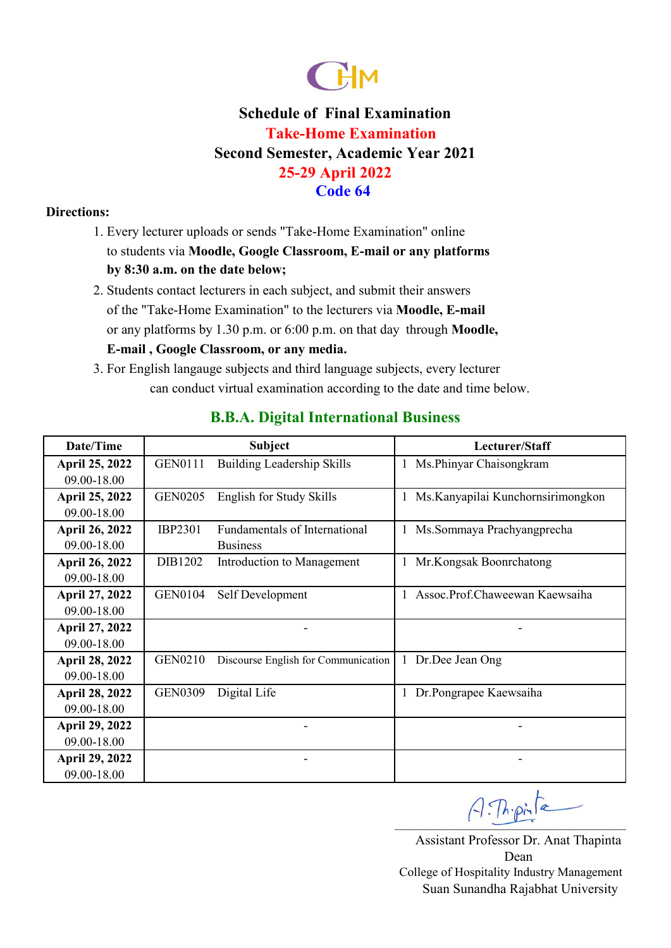

# **Schedule of Final Examination Take-Home Examination Second Semester, Academic Year 2021 25-29 April 2022 Code 64**

#### **Directions:**

- 1. Every lecturer uploads or sends "Take-Home Examination" online to students via **Moodle, Google Classroom, E-mail or any platforms by 8:30 a.m. on the date below;**
- or any platforms by 1.30 p.m. or 6:00 p.m. on that day through **Moodle,**  2. Students contact lecturers in each subject, and submit their answers of the "Take-Home Examination" to the lecturers via **Moodle, E-mail E-mail , Google Classroom, or any media.**
- 3. For English langauge subjects and third language subjects, every lecturer can conduct virtual examination according to the date and time below.

| Date/Time             |                | <b>Subject</b>                      | Lecturer/Staff                     |
|-----------------------|----------------|-------------------------------------|------------------------------------|
| April 25, 2022        | <b>GEN0111</b> | <b>Building Leadership Skills</b>   | Ms.Phinyar Chaisongkram            |
| 09.00-18.00           |                |                                     |                                    |
| April 25, 2022        | <b>GEN0205</b> | English for Study Skills            | Ms. Kanyapilai Kunchornsirimongkon |
| 09.00-18.00           |                |                                     |                                    |
| <b>April 26, 2022</b> | <b>IBP2301</b> | Fundamentals of International       | Ms.Sommaya Prachyangprecha         |
| 09.00-18.00           |                | <b>Business</b>                     |                                    |
| <b>April 26, 2022</b> | DIB1202        | Introduction to Management          | Mr.Kongsak Boonrchatong            |
| 09.00-18.00           |                |                                     |                                    |
| April 27, 2022        | <b>GEN0104</b> | Self Development                    | Assoc.Prof.Chaweewan Kaewsaiha     |
| 09.00-18.00           |                |                                     |                                    |
| <b>April 27, 2022</b> |                |                                     |                                    |
| 09.00-18.00           |                |                                     |                                    |
| <b>April 28, 2022</b> | <b>GEN0210</b> | Discourse English for Communication | 1 Dr.Dee Jean Ong                  |
| 09.00-18.00           |                |                                     |                                    |
| <b>April 28, 2022</b> | <b>GEN0309</b> | Digital Life                        | Dr.Pongrapee Kaewsaiha             |
| 09.00-18.00           |                |                                     |                                    |
| <b>April 29, 2022</b> |                |                                     |                                    |
| 09.00-18.00           |                |                                     |                                    |
| <b>April 29, 2022</b> |                |                                     |                                    |
| 09.00-18.00           |                |                                     |                                    |

### **B.B.A. Digital International Business**

 $A:Th{\cdot}pi$ 

Assistant Professor Dr. Anat Thapinta Dean Suan Sunandha Rajabhat University College of Hospitality Industry Management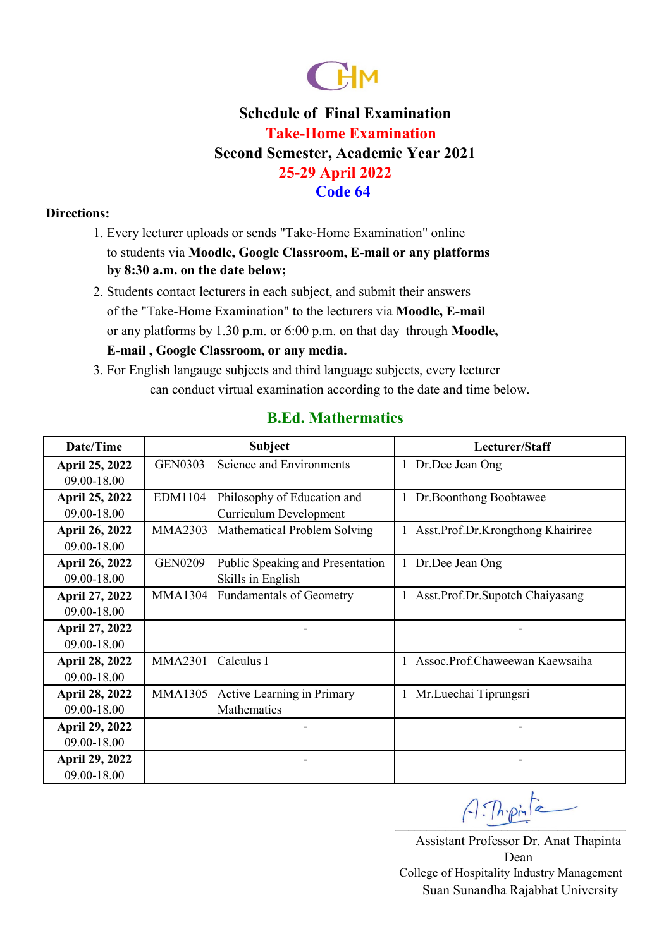

# **Schedule of Final Examination Take-Home Examination Second Semester, Academic Year 2021 25-29 April 2022 Code 64**

#### **Directions:**

- 1. Every lecturer uploads or sends "Take-Home Examination" online to students via **Moodle, Google Classroom, E-mail or any platforms by 8:30 a.m. on the date below;**
- or any platforms by 1.30 p.m. or 6:00 p.m. on that day through **Moodle,**  2. Students contact lecturers in each subject, and submit their answers of the "Take-Home Examination" to the lecturers via **Moodle, E-mail E-mail , Google Classroom, or any media.**
- 3. For English langauge subjects and third language subjects, every lecturer can conduct virtual examination according to the date and time below.

### **B.Ed. Mathermatics**

| Date/Time             | <b>Subject</b> |                                  | Lecturer/Staff                      |
|-----------------------|----------------|----------------------------------|-------------------------------------|
| April 25, 2022        | <b>GEN0303</b> | <b>Science and Environments</b>  | 1 Dr.Dee Jean Ong                   |
| 09.00-18.00           |                |                                  |                                     |
| April 25, 2022        | EDM1104        | Philosophy of Education and      | 1 Dr. Boonthong Boobtawee           |
| 09.00-18.00           |                | Curriculum Development           |                                     |
| <b>April 26, 2022</b> | <b>MMA2303</b> | Mathematical Problem Solving     | 1 Asst.Prof.Dr.Krongthong Khairiree |
| 09.00-18.00           |                |                                  |                                     |
| April 26, 2022        | <b>GEN0209</b> | Public Speaking and Presentation | 1 Dr.Dee Jean Ong                   |
| 09.00-18.00           |                | Skills in English                |                                     |
| April 27, 2022        | <b>MMA1304</b> | <b>Fundamentals of Geometry</b>  | 1 Asst.Prof.Dr.Supotch Chaiyasang   |
| 09.00-18.00           |                |                                  |                                     |
| April 27, 2022        |                |                                  |                                     |
| 09.00-18.00           |                |                                  |                                     |
| <b>April 28, 2022</b> | <b>MMA2301</b> | Calculus I                       | Assoc.Prof.Chaweewan Kaewsaiha<br>1 |
| 09.00-18.00           |                |                                  |                                     |
| <b>April 28, 2022</b> | MMA1305        | Active Learning in Primary       | Mr.Luechai Tiprungsri<br>1          |
| 09.00-18.00           |                | Mathematics                      |                                     |
| <b>April 29, 2022</b> |                |                                  |                                     |
| 09.00-18.00           |                |                                  |                                     |
| <b>April 29, 2022</b> |                |                                  |                                     |
| 09.00-18.00           |                |                                  |                                     |

 $A:Th{\cdot}pi$ 

Assistant Professor Dr. Anat Thapinta Dean Suan Sunandha Rajabhat University College of Hospitality Industry Management